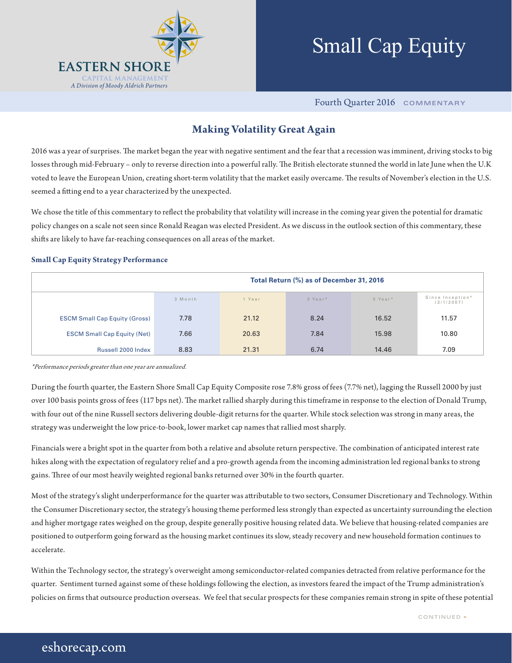

# Small Cap Equity

Fourth Quarter 2016 **COMMENTARY**

### **Making Volatility Great Again**

2016 was a year of surprises. The market began the year with negative sentiment and the fear that a recession was imminent, driving stocks to big losses through mid-February – only to reverse direction into a powerful rally. The British electorate stunned the world in late June when the U.K voted to leave the European Union, creating short-term volatility that the market easily overcame. The results of November's election in the U.S. seemed a fitting end to a year characterized by the unexpected.

We chose the title of this commentary to reflect the probability that volatility will increase in the coming year given the potential for dramatic policy changes on a scale not seen since Ronald Reagan was elected President. As we discuss in the outlook section of this commentary, these shifts are likely to have far-reaching consequences on all areas of the market.

#### **Small Cap Equity Strategy Performance**

|                                      | Total Return (%) as of December 31, 2016 |        |         |         |                                |  |  |  |
|--------------------------------------|------------------------------------------|--------|---------|---------|--------------------------------|--|--|--|
|                                      | 3 Month                                  | 1 Year | 3 Year* | 5 Year* | Since Inception*<br>(3/1/2007) |  |  |  |
| <b>ESCM Small Cap Equity (Gross)</b> | 7.78                                     | 21.12  | 8.24    | 16.52   | 11.57                          |  |  |  |
| <b>ESCM Small Cap Equity (Net)</b>   | 7.66                                     | 20.63  | 7.84    | 15.98   | 10.80                          |  |  |  |
| Russell 2000 Index                   | 8.83                                     | 21.31  | 6.74    | 14.46   | 7.09                           |  |  |  |

\*Performance periods greater than one year are annualized.

During the fourth quarter, the Eastern Shore Small Cap Equity Composite rose 7.8% gross of fees (7.7% net), lagging the Russell 2000 by just over 100 basis points gross of fees (117 bps net). The market rallied sharply during this timeframe in response to the election of Donald Trump, with four out of the nine Russell sectors delivering double-digit returns for the quarter. While stock selection was strong in many areas, the strategy was underweight the low price-to-book, lower market cap names that rallied most sharply.

Financials were a bright spot in the quarter from both a relative and absolute return perspective. The combination of anticipated interest rate hikes along with the expectation of regulatory relief and a pro-growth agenda from the incoming administration led regional banks to strong gains. Three of our most heavily weighted regional banks returned over 30% in the fourth quarter.

Most of the strategy's slight underperformance for the quarter was attributable to two sectors, Consumer Discretionary and Technology. Within the Consumer Discretionary sector, the strategy's housing theme performed less strongly than expected as uncertainty surrounding the election and higher mortgage rates weighed on the group, despite generally positive housing related data. We believe that housing-related companies are positioned to outperform going forward as the housing market continues its slow, steady recovery and new household formation continues to accelerate.

Within the Technology sector, the strategy's overweight among semiconductor-related companies detracted from relative performance for the quarter. Sentiment turned against some of these holdings following the election, as investors feared the impact of the Trump administration's policies on firms that outsource production overseas. We feel that secular prospects for these companies remain strong in spite of these potential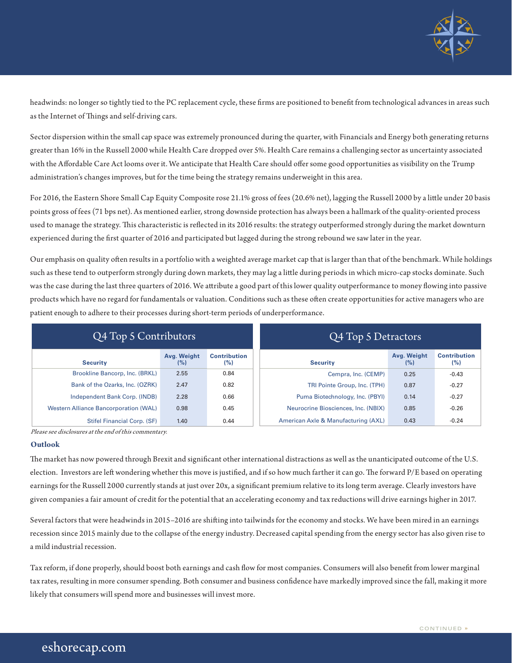

headwinds: no longer so tightly tied to the PC replacement cycle, these firms are positioned to benefit from technological advances in areas such as the Internet of Things and self-driving cars.

Sector dispersion within the small cap space was extremely pronounced during the quarter, with Financials and Energy both generating returns greater than 16% in the Russell 2000 while Health Care dropped over 5%. Health Care remains a challenging sector as uncertainty associated with the Affordable Care Act looms over it. We anticipate that Health Care should offer some good opportunities as visibility on the Trump administration's changes improves, but for the time being the strategy remains underweight in this area.

For 2016, the Eastern Shore Small Cap Equity Composite rose 21.1% gross of fees (20.6% net), lagging the Russell 2000 by a little under 20 basis points gross of fees (71 bps net). As mentioned earlier, strong downside protection has always been a hallmark of the quality-oriented process used to manage the strategy. This characteristic is reflected in its 2016 results: the strategy outperformed strongly during the market downturn experienced during the first quarter of 2016 and participated but lagged during the strong rebound we saw later in the year.

Our emphasis on quality often results in a portfolio with a weighted average market cap that is larger than that of the benchmark. While holdings such as these tend to outperform strongly during down markets, they may lag a little during periods in which micro-cap stocks dominate. Such was the case during the last three quarters of 2016. We attribute a good part of this lower quality outperformance to money flowing into passive products which have no regard for fundamentals or valuation. Conditions such as these often create opportunities for active managers who are patient enough to adhere to their processes during short-term periods of underperformance.

| Q4 Top 5 Contributors                        |                    |                            | Q4 Top 5 Detractors                 |                    |                            |  |
|----------------------------------------------|--------------------|----------------------------|-------------------------------------|--------------------|----------------------------|--|
| <b>Security</b>                              | Avg. Weight<br>(%) | <b>Contribution</b><br>(%) | <b>Security</b>                     | Avg. Weight<br>(%) | <b>Contribution</b><br>(%) |  |
| Brookline Bancorp, Inc. (BRKL)               | 2.55               | 0.84                       | Cempra, Inc. (CEMP)                 | 0.25               | $-0.43$                    |  |
| Bank of the Ozarks, Inc. (OZRK)              | 2.47               | 0.82                       | TRI Pointe Group, Inc. (TPH)        | 0.87               | $-0.27$                    |  |
| Independent Bank Corp. (INDB)                | 2.28               | 0.66                       | Puma Biotechnology, Inc. (PBYI)     | 0.14               | $-0.27$                    |  |
| <b>Western Alliance Bancorporation (WAL)</b> | 0.98               | 0.45                       | Neurocrine Biosciences, Inc. (NBIX) | 0.85               | $-0.26$                    |  |
| Stifel Financial Corp. (SF)                  | 1.40               | 0.44                       | American Axle & Manufacturing (AXL) | 0.43               | $-0.24$                    |  |

Please see disclosures at the end of this commentary.

#### **Outlook**

The market has now powered through Brexit and significant other international distractions as well as the unanticipated outcome of the U.S. election. Investors are left wondering whether this move is justified, and if so how much farther it can go. The forward P/E based on operating earnings for the Russell 2000 currently stands at just over 20x, a significant premium relative to its long term average. Clearly investors have given companies a fair amount of credit for the potential that an accelerating economy and tax reductions will drive earnings higher in 2017.

Several factors that were headwinds in 2015–2016 are shifting into tailwinds for the economy and stocks. We have been mired in an earnings recession since 2015 mainly due to the collapse of the energy industry. Decreased capital spending from the energy sector has also given rise to a mild industrial recession.

Tax reform, if done properly, should boost both earnings and cash flow for most companies. Consumers will also benefit from lower marginal tax rates, resulting in more consumer spending. Both consumer and business confidence have markedly improved since the fall, making it more likely that consumers will spend more and businesses will invest more.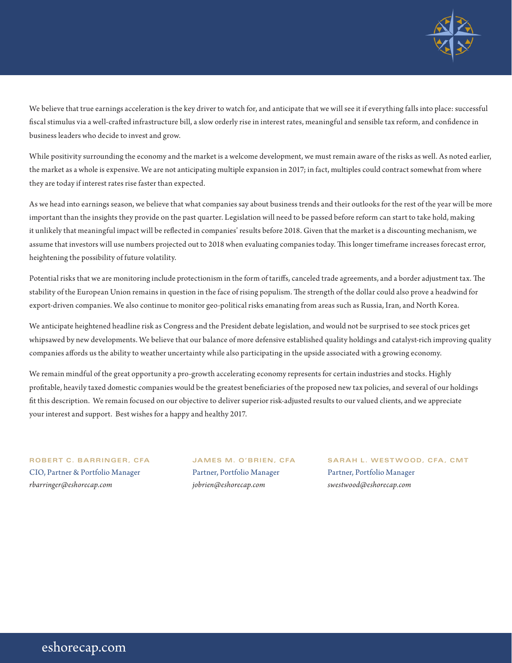

We believe that true earnings acceleration is the key driver to watch for, and anticipate that we will see it if everything falls into place: successful fiscal stimulus via a well-crafted infrastructure bill, a slow orderly rise in interest rates, meaningful and sensible tax reform, and confidence in business leaders who decide to invest and grow.

While positivity surrounding the economy and the market is a welcome development, we must remain aware of the risks as well. As noted earlier, the market as a whole is expensive. We are not anticipating multiple expansion in 2017; in fact, multiples could contract somewhat from where they are today if interest rates rise faster than expected.

As we head into earnings season, we believe that what companies say about business trends and their outlooks for the rest of the year will be more important than the insights they provide on the past quarter. Legislation will need to be passed before reform can start to take hold, making it unlikely that meaningful impact will be reflected in companies' results before 2018. Given that the market is a discounting mechanism, we assume that investors will use numbers projected out to 2018 when evaluating companies today. This longer timeframe increases forecast error, heightening the possibility of future volatility.

Potential risks that we are monitoring include protectionism in the form of tariffs, canceled trade agreements, and a border adjustment tax. The stability of the European Union remains in question in the face of rising populism. The strength of the dollar could also prove a headwind for export-driven companies. We also continue to monitor geo-political risks emanating from areas such as Russia, Iran, and North Korea.

We anticipate heightened headline risk as Congress and the President debate legislation, and would not be surprised to see stock prices get whipsawed by new developments. We believe that our balance of more defensive established quality holdings and catalyst-rich improving quality companies affords us the ability to weather uncertainty while also participating in the upside associated with a growing economy.

We remain mindful of the great opportunity a pro-growth accelerating economy represents for certain industries and stocks. Highly profitable, heavily taxed domestic companies would be the greatest beneficiaries of the proposed new tax policies, and several of our holdings fit this description. We remain focused on our objective to deliver superior risk-adjusted results to our valued clients, and we appreciate your interest and support. Best wishes for a happy and healthy 2017.

## CIO, Partner & Portfolio Manager Partner, Portfolio Manager Partner, Portfolio Manager *rbarringer@eshorecap.com jobrien@eshorecap.com swestwood@eshorecap.com*

**ROBERT C. BARRINGER, CFA JAMES M. O'BRIEN, CFA SARAH L. WESTWOOD, CFA, CMT**